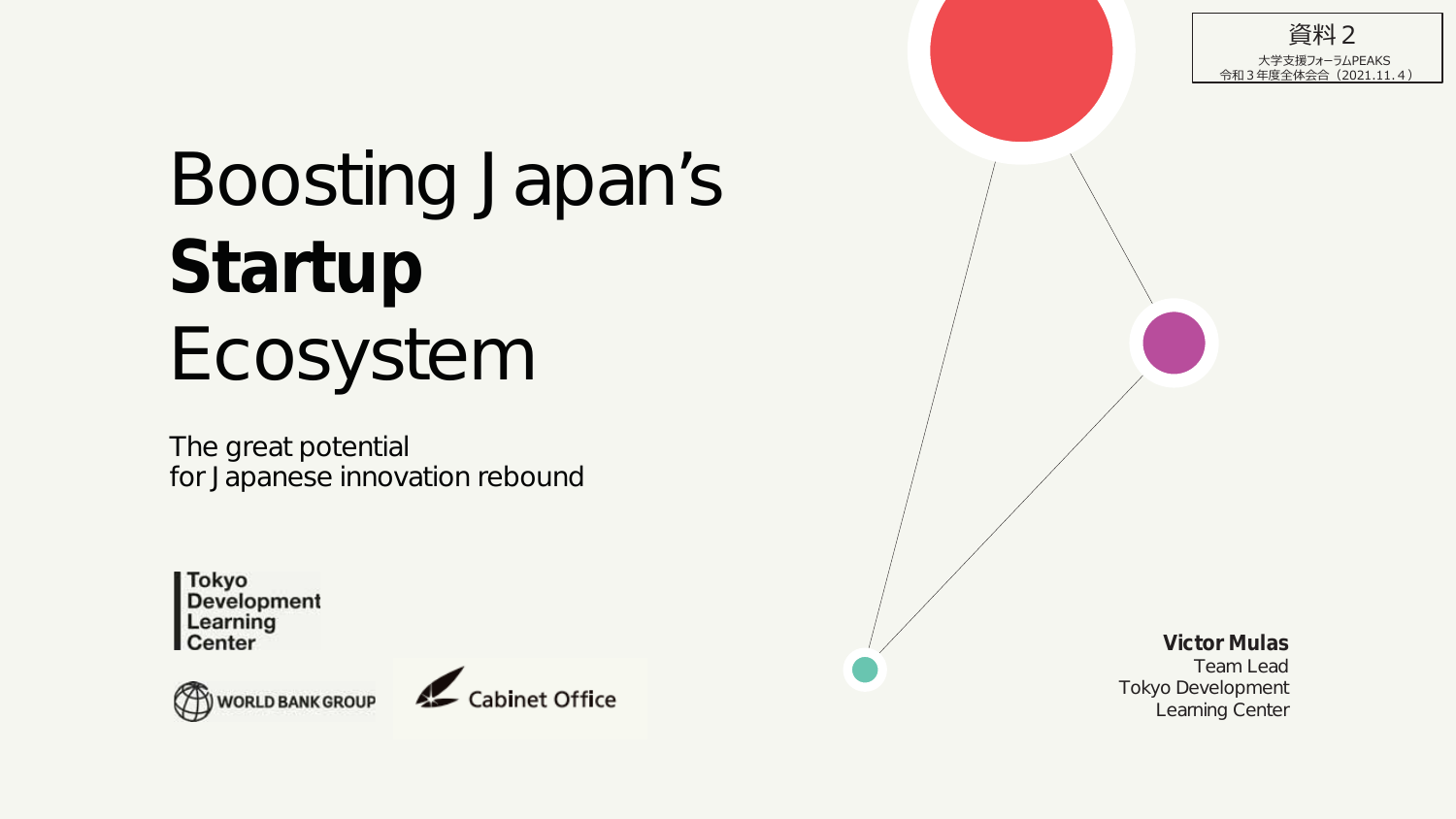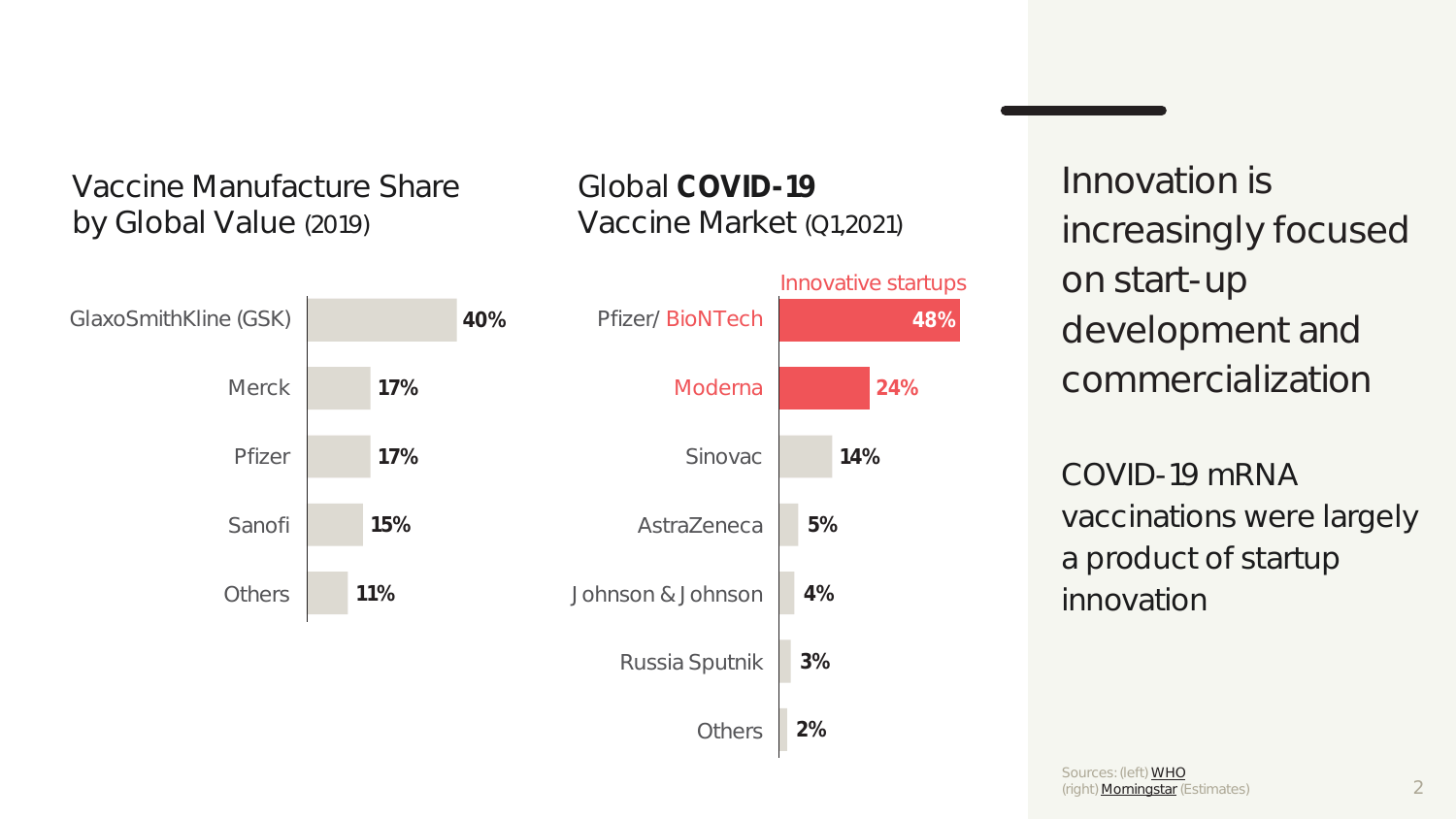Vaccine Manufacture Share by Global Value (2019)

# Global **COVID-19**  Vaccine Market (Q1,2021)



Innovation is increasingly focused on start-up development and commercialization

COVID-19 mRNA vaccinations were largely a product of startup innovation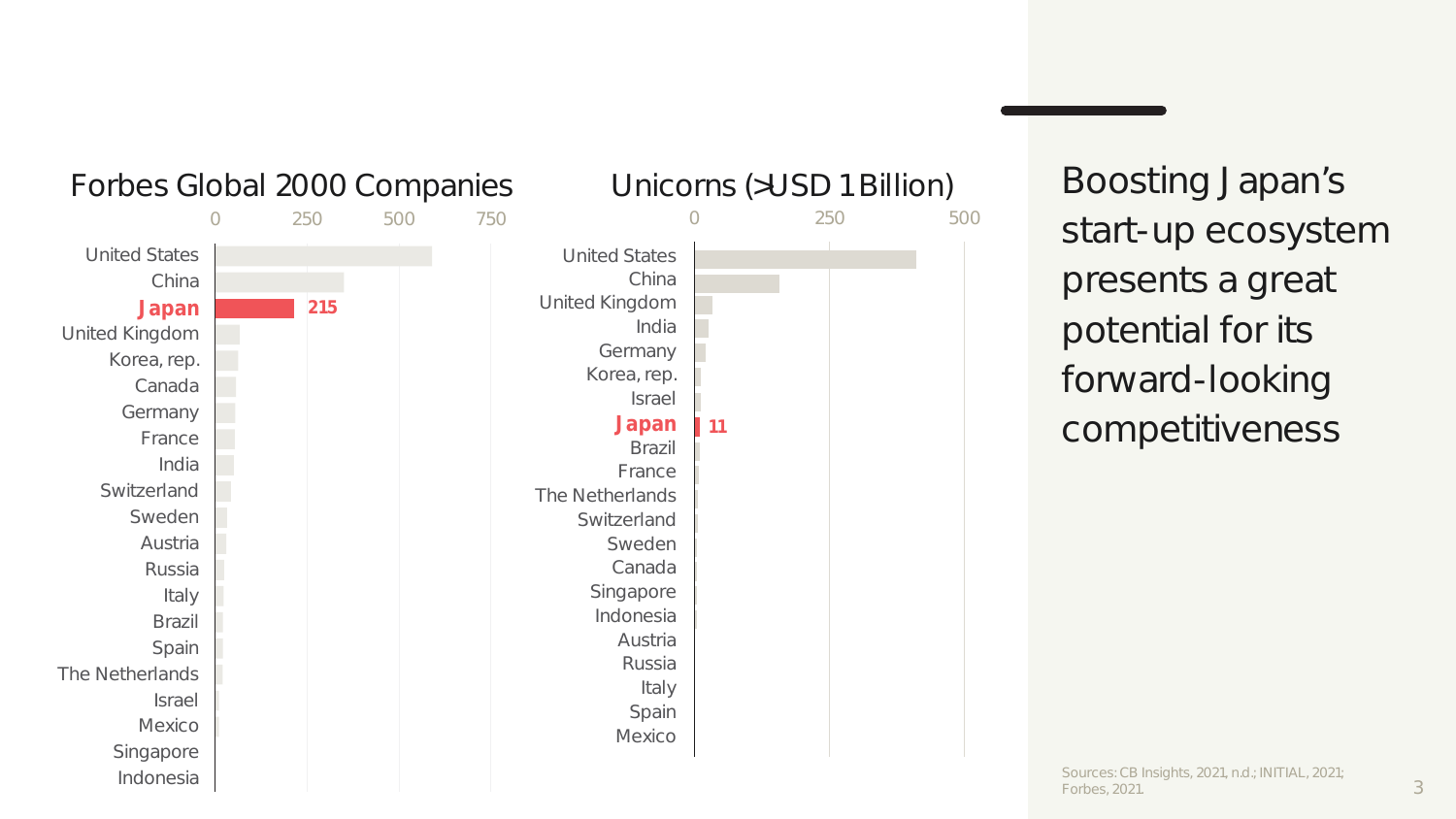

Boosting Japan's start-up ecosystem presents a great potential for its forward-looking competitiveness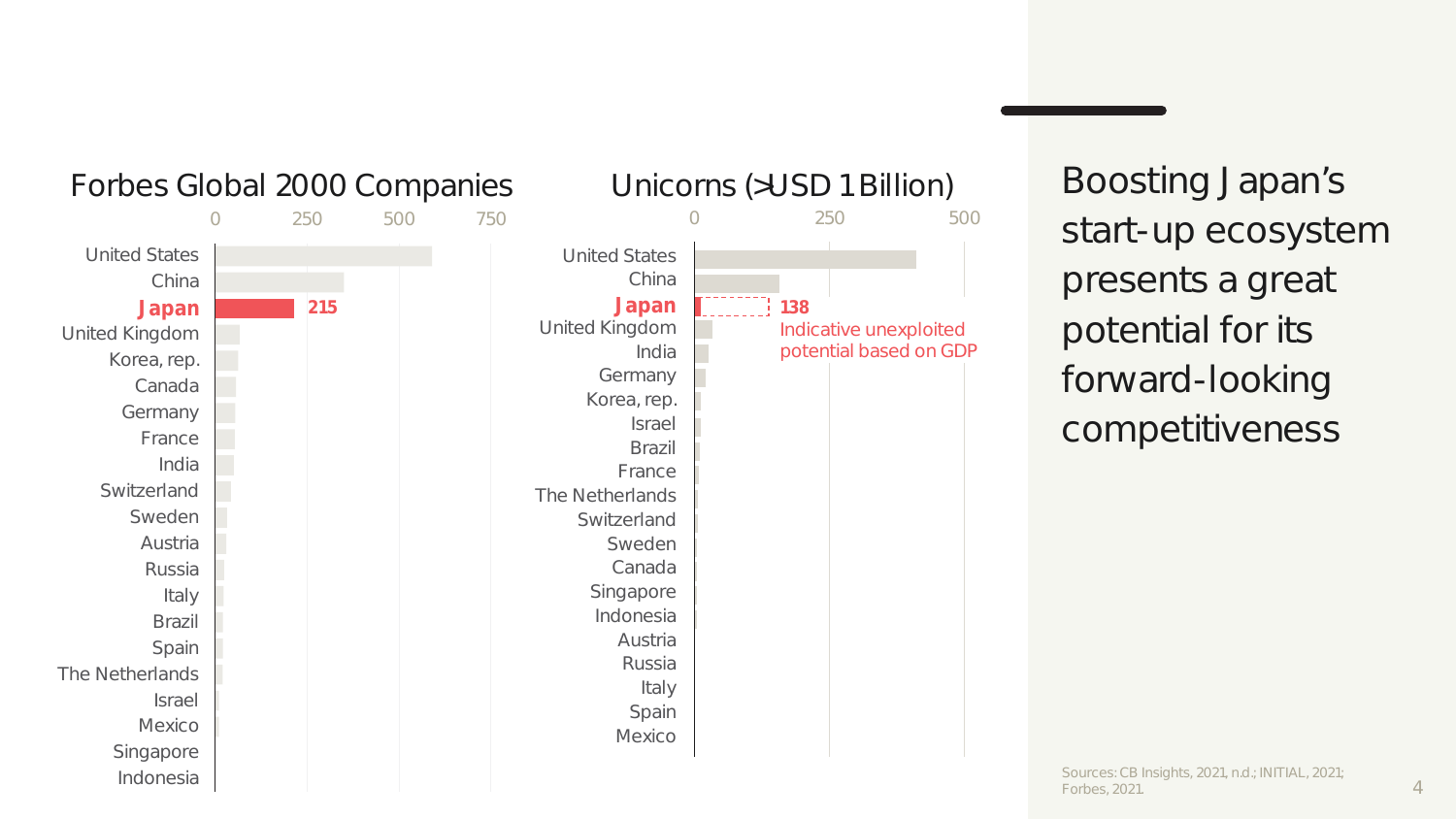

Boosting Japan's start-up ecosystem presents a great potential for its forward-looking competitiveness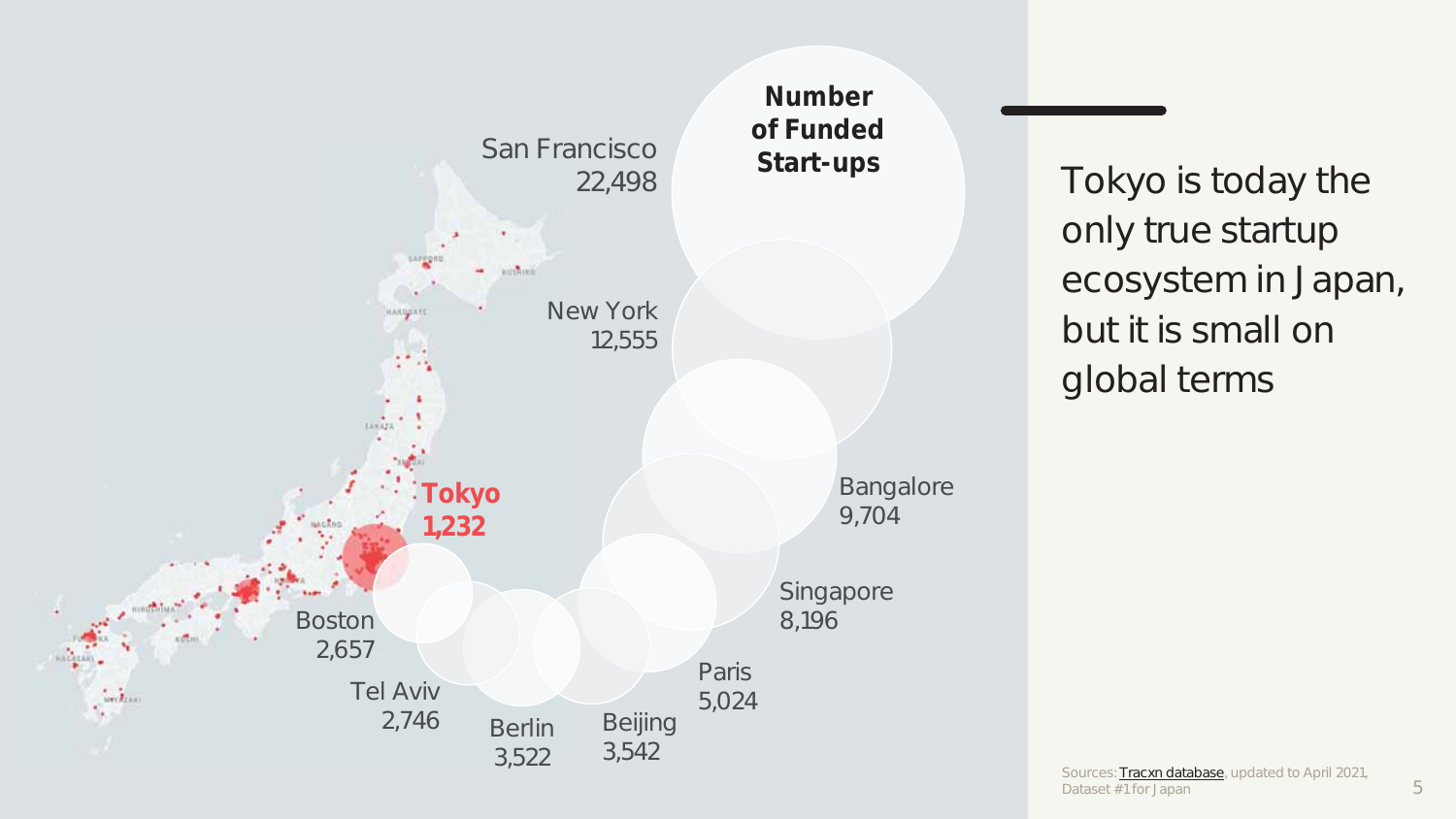

Tokyo is today the only true startup ecosystem in Japan, but it is small on global terms

5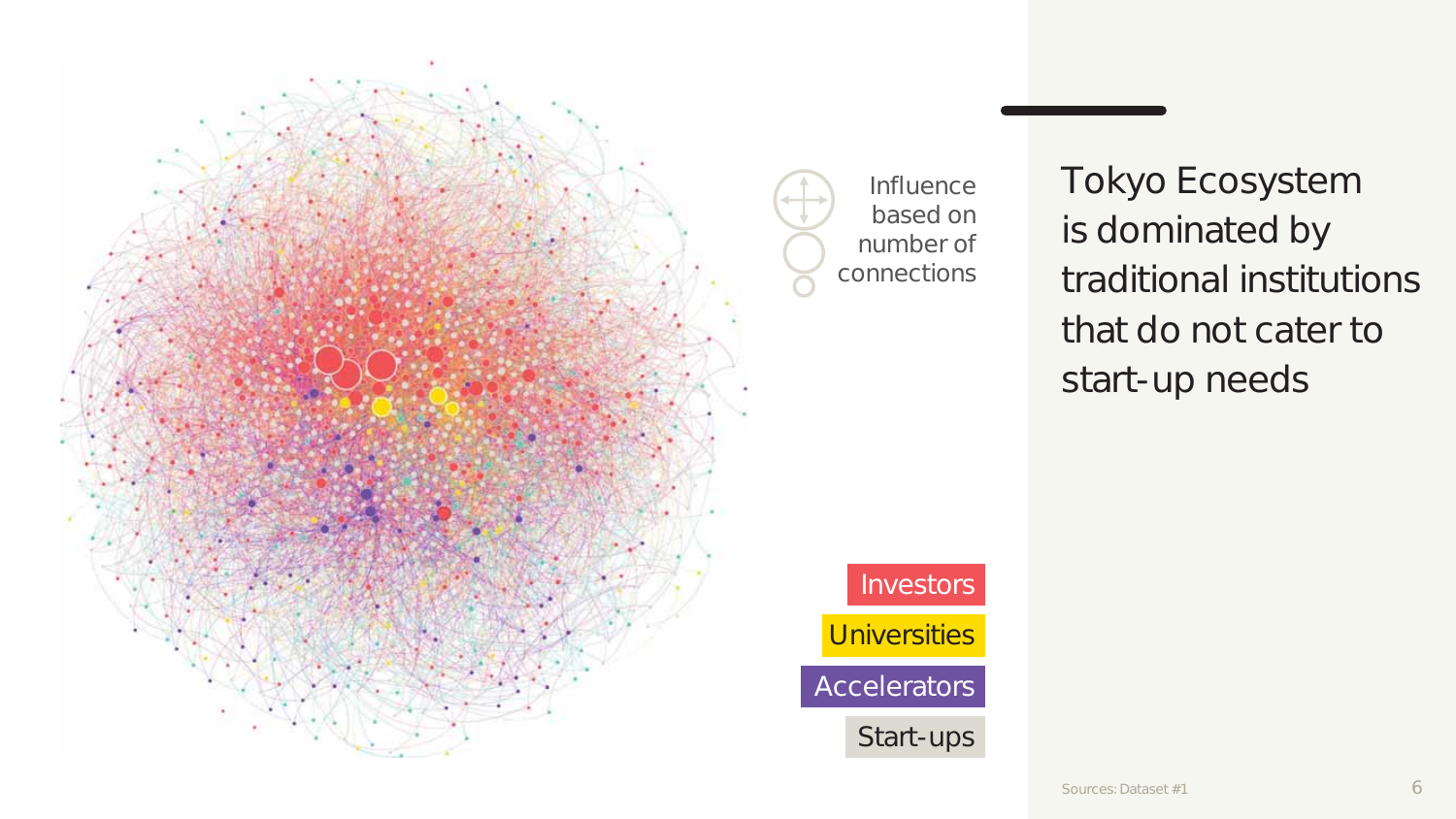

Tokyo Ecosystem is dominated by traditional institutions that do not cater to start-up needs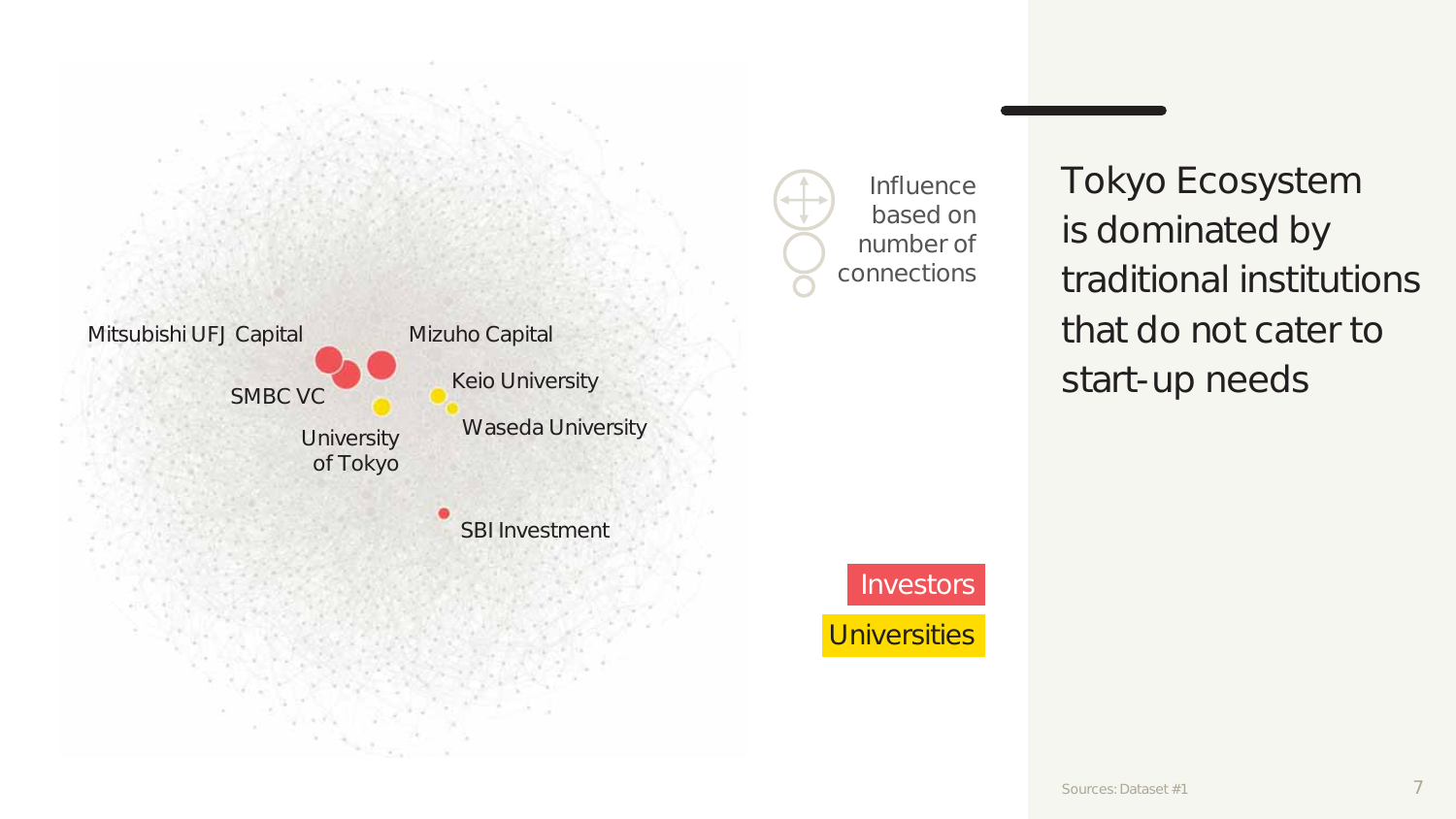

Influence based on number of connections Tokyo Ecosystem is dominated by traditional institutions that do not cater to start-up needs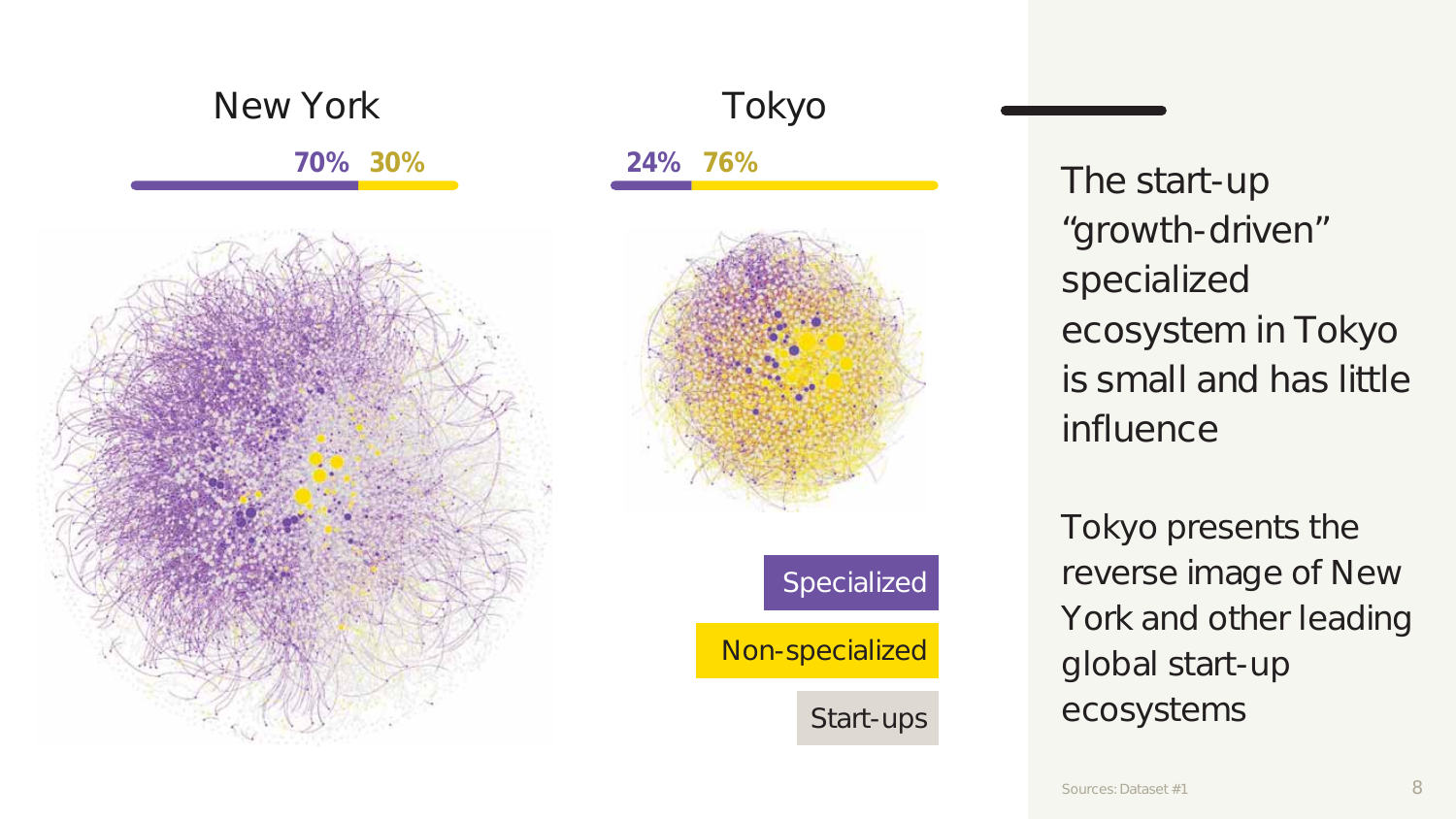



Specialized Non-specialized

Start-ups

The start-up "growth-driven" specialized ecosystem in Tokyo is small and has little influence

Tokyo presents the reverse image of New York and other leading global start-up ecosystems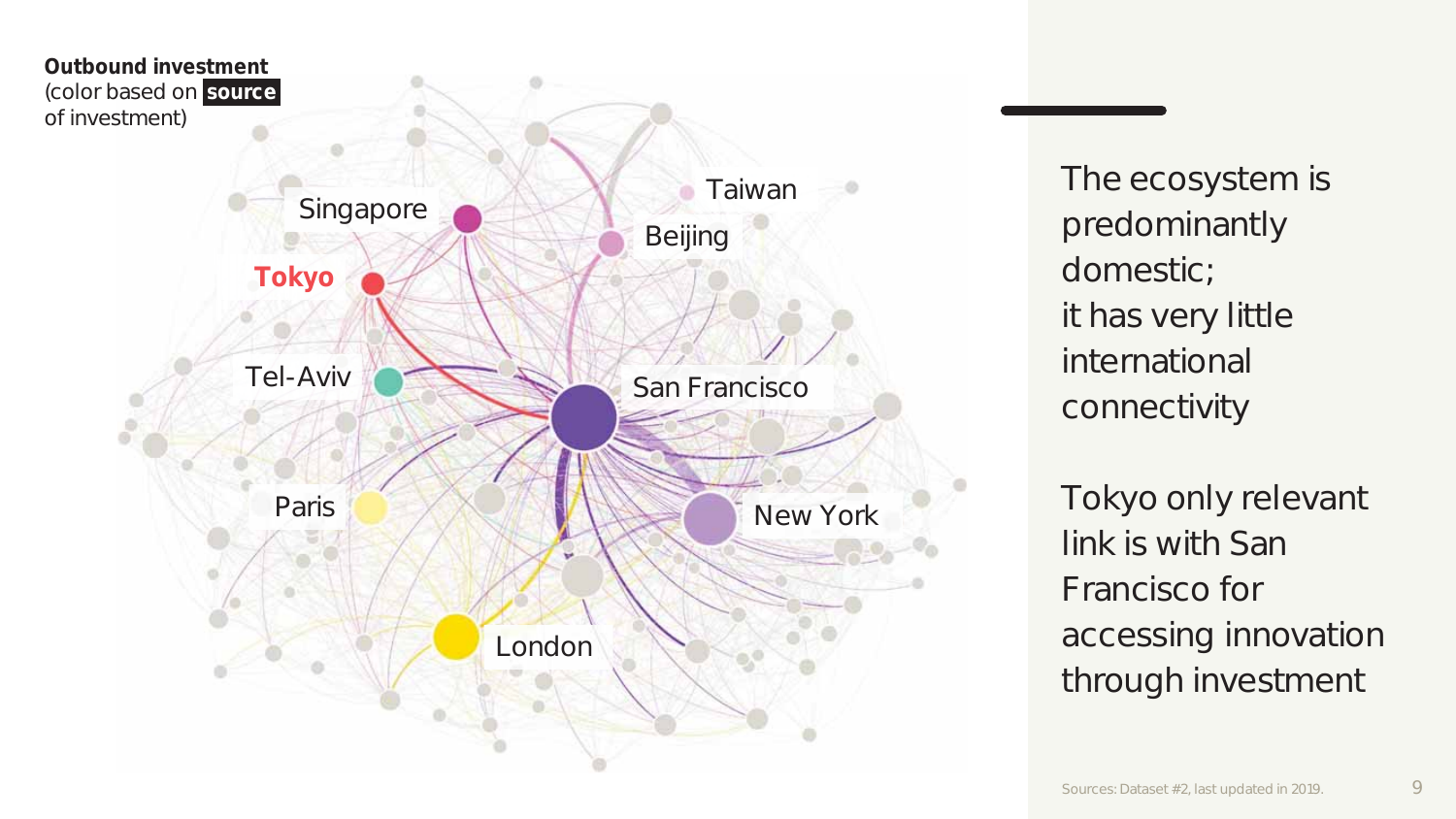

The ecosystem is predominantly domestic; it has very little international connectivity

Tokyo only relevant link is with San Francisco for accessing innovation through investment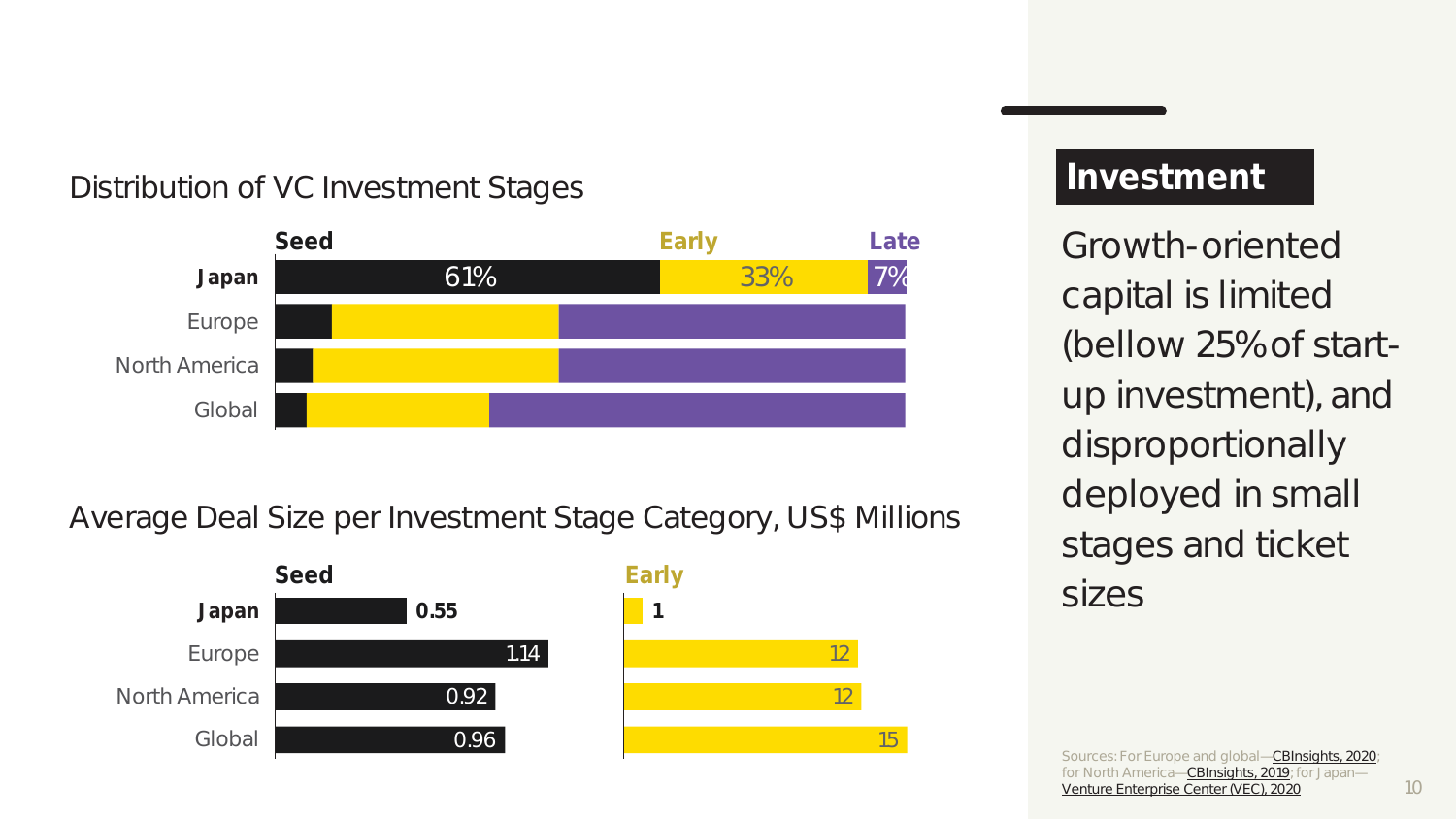## Distribution of VC Investment Stages



### Average Deal Size per Investment Stage Category, US\$ Millions



### **Investment**

Growth-oriented capital is limited (bellow 25% of startup investment), and disproportionally deployed in small stages and ticket sizes

Sources: For Europe and global—CBInsights, 2020; for North America—CBInsights, 2019; for Japan— Venture Enterprise Center (VEC), 2020

15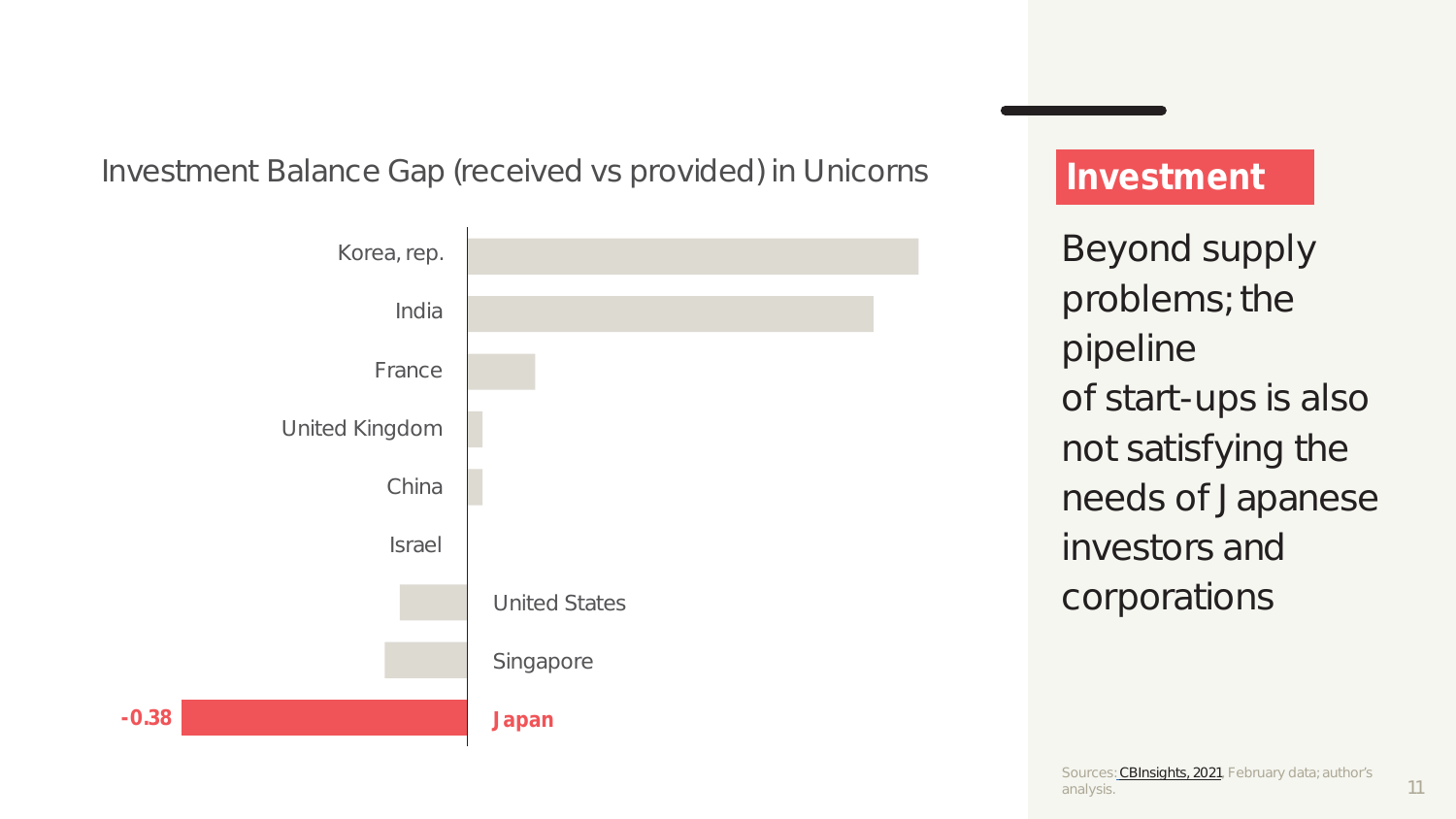### Investment Balance Gap (received vs provided) in Unicorns



## **Investment**

Beyond supply problems; the pipeline of start-ups is also not satisfying the needs of Japanese investors and corporations

11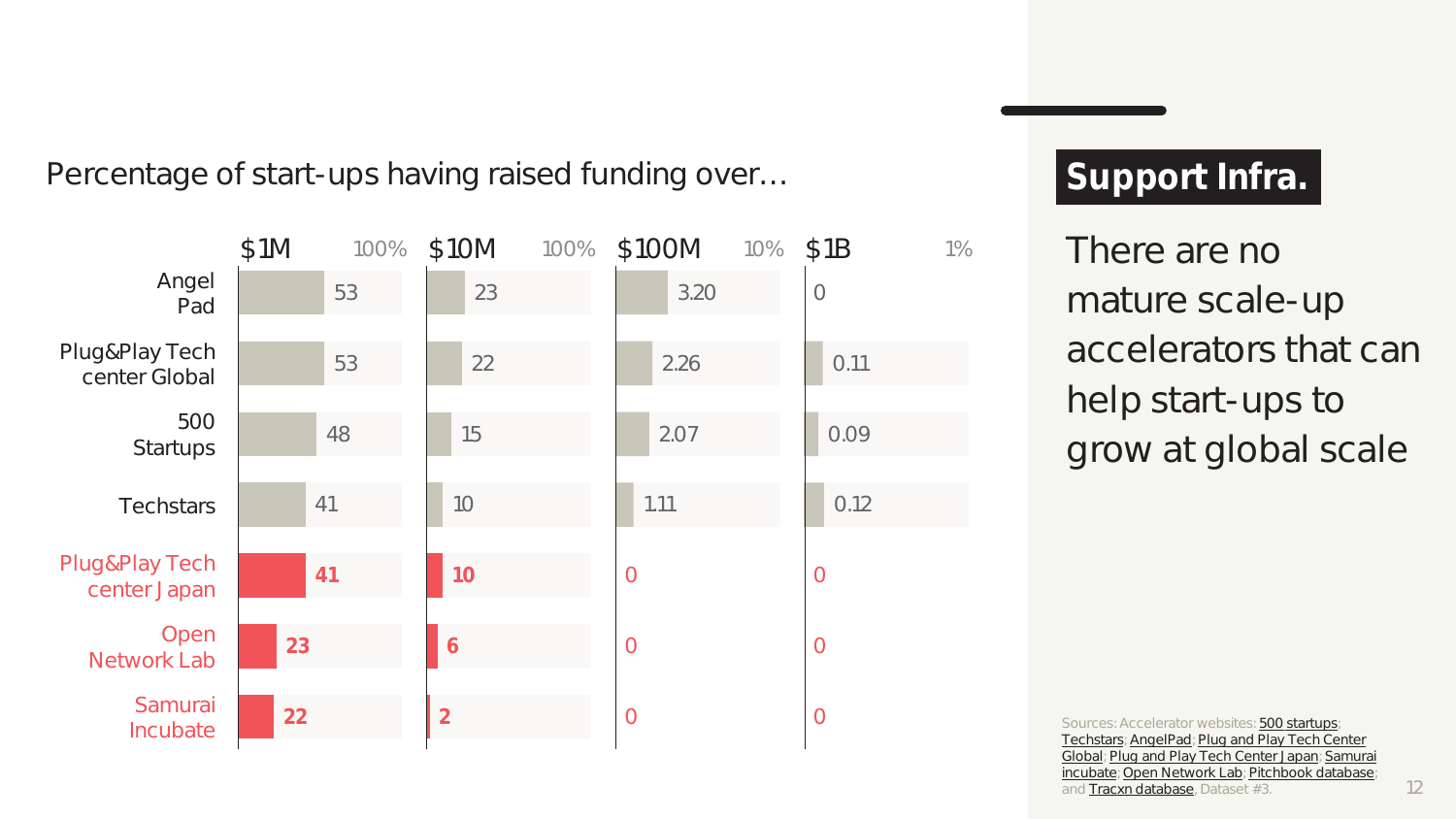Percentage of start-ups having raised funding over…



# **Support Infra.**

There are no mature scale-up accelerators that can help start-ups to grow at global scale

Sources: Accelerator websites: 500 startups; Techstars; AngelPad; Plug and Play Tech Center Global; Plug and Play Tech Center Japan; Samurai incubate; Open Network Lab; Pitchbook database; and Tracxn database, Dataset #3.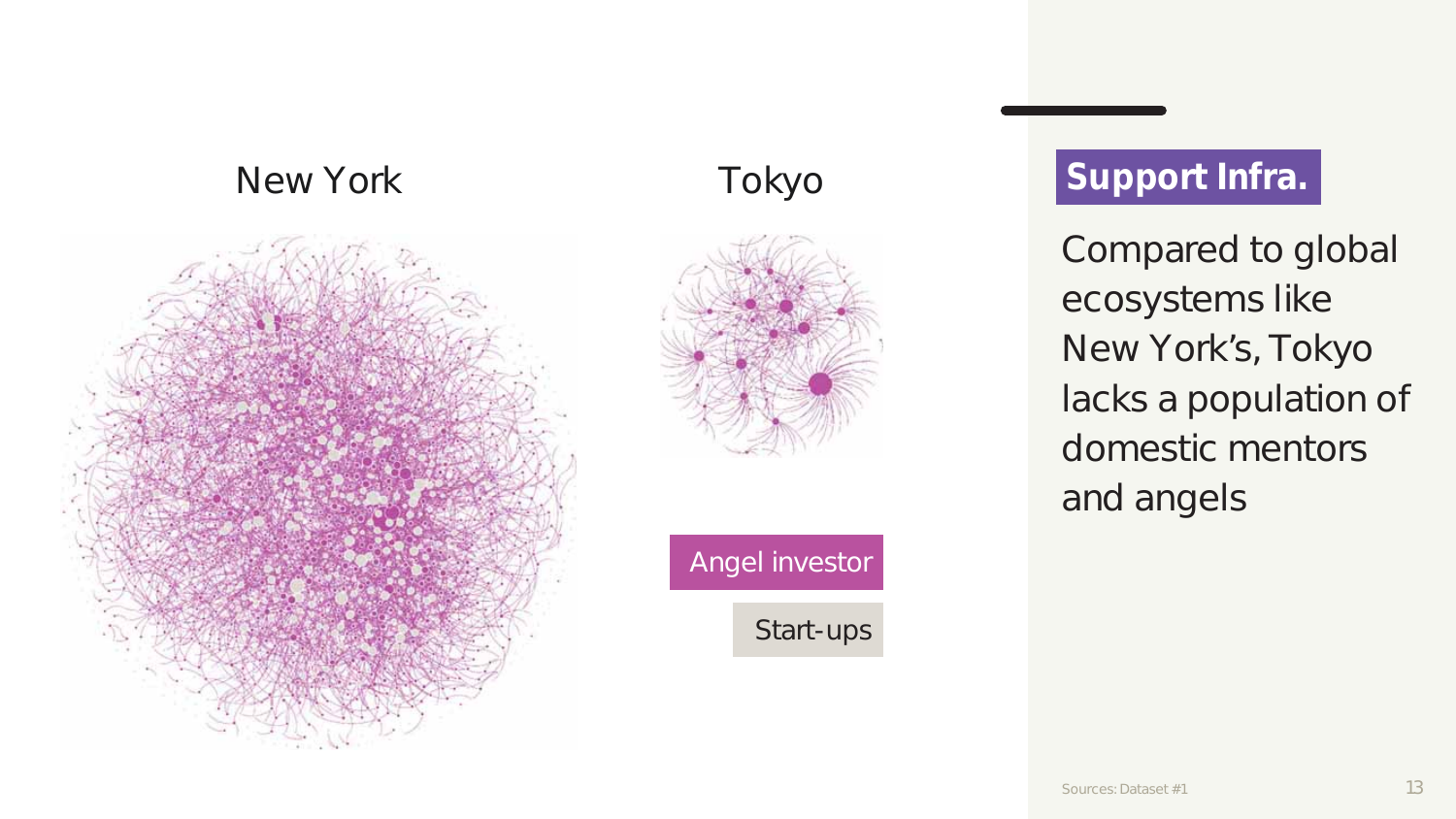# New York Tokyo





Angel investor

Start-ups

# **Support Infra.**

Compared to global ecosystems like New York's, Tokyo lacks a population of domestic mentors and angels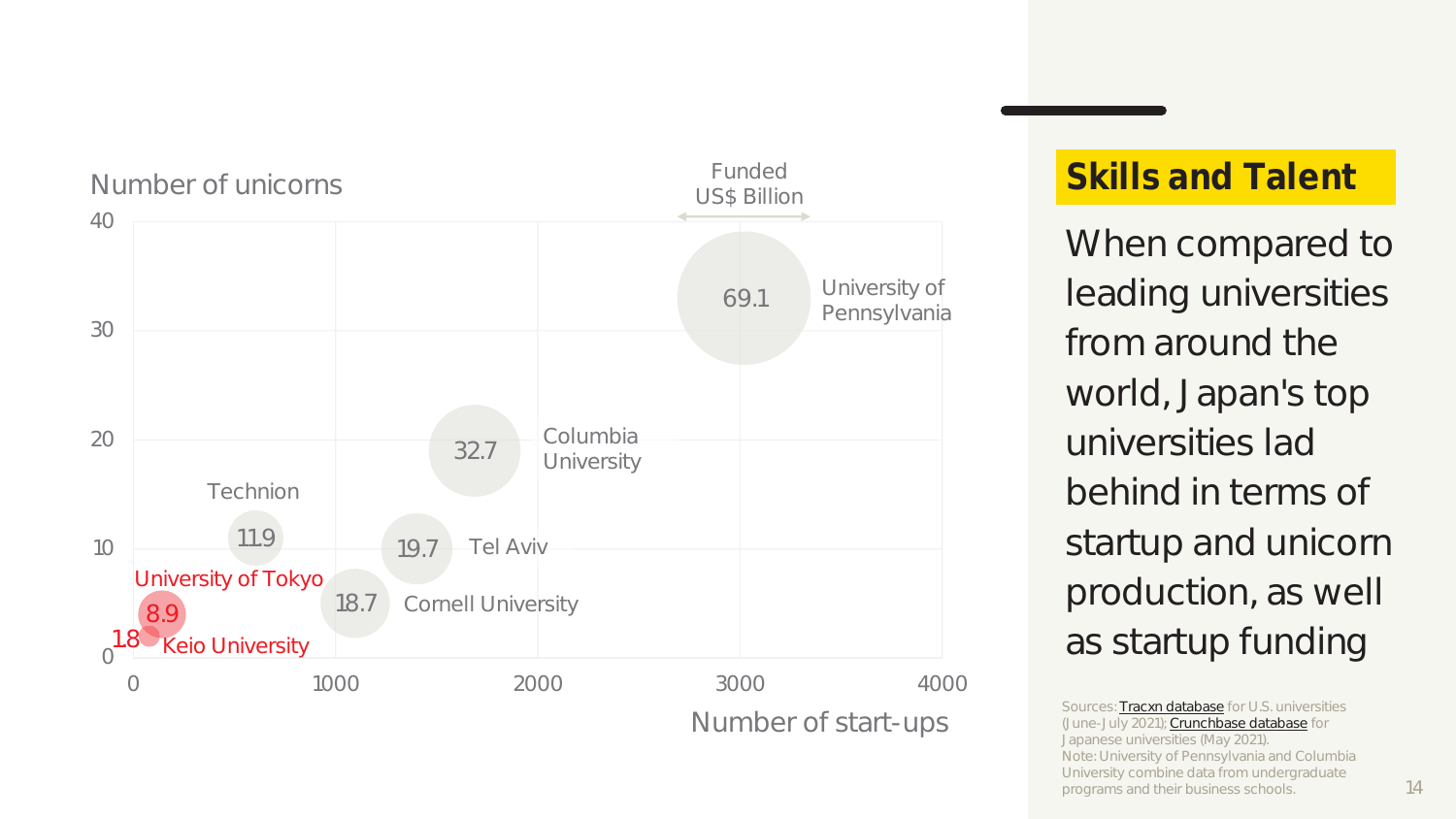

# **Skills and Talent**

When compared to leading universities from around the world, Japan's top universities lad behind in terms of startup and unicorn production, as well as startup funding

Sources: Tracxn database for U.S. universities (June-July 2021); Crunchbase database for Japanese universities (May 2021). Note: University of Pennsylvania and Columbia University combine data from undergraduate programs and their business schools.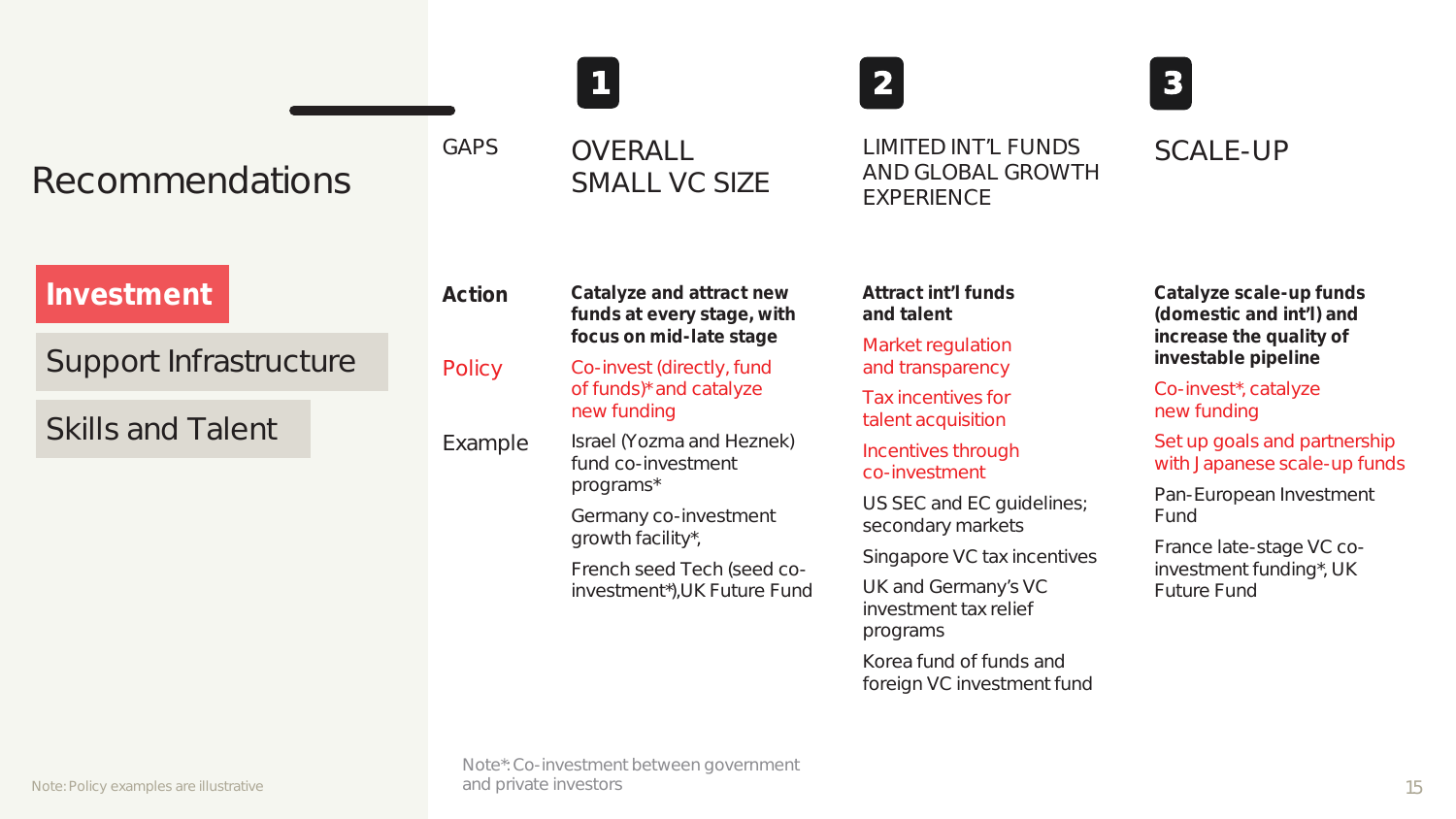|                                                                  |                             |                                                                                                                                                                                                                                                                                                                                      | 2                                                                                                                                                                                                                                                                                                                                                                   | 3 <sup>1</sup>                                                                                                                                                                                                                                                                                                        |
|------------------------------------------------------------------|-----------------------------|--------------------------------------------------------------------------------------------------------------------------------------------------------------------------------------------------------------------------------------------------------------------------------------------------------------------------------------|---------------------------------------------------------------------------------------------------------------------------------------------------------------------------------------------------------------------------------------------------------------------------------------------------------------------------------------------------------------------|-----------------------------------------------------------------------------------------------------------------------------------------------------------------------------------------------------------------------------------------------------------------------------------------------------------------------|
| Recommendations                                                  | GAPS                        | OVERALL<br>SMALL VC SIZE                                                                                                                                                                                                                                                                                                             | LIMITED INT'L FUNDS<br>AND GLOBAL GROWTH<br>EXPERIENCE                                                                                                                                                                                                                                                                                                              | SCALE-UP                                                                                                                                                                                                                                                                                                              |
| Investment<br>Support Infrastructure<br><b>Skills and Talent</b> | Action<br>Policy<br>Example | Catalyze and attract new<br>funds at every stage, with<br>focus on mid-late stage<br>Co-invest (directly, fund<br>of funds)* and catalyze<br>new funding<br>Israel (Yozma and Heznek)<br>fund co-investment<br>programs*<br>Germany co-investment<br>growth facility*,<br>French seed Tech (seed co-<br>investment*), UK Future Fund | Attract int'l funds<br>and talent<br>Market regulation<br>and transparency<br>Tax incentives for<br>talent acquisition<br>Incentives through<br>co-investment<br>US SEC and EC guidelines;<br>secondary markets<br>Singapore VC tax incentives<br>UK and Germany's VC<br>investment tax relief<br>programs<br>Korea fund of funds and<br>foreign VC investment fund | Catalyze scale-up funds<br>(domestic and int'l) and<br>increase the quality of<br>investable pipeline<br>Co-invest*, catalyze<br>new funding<br>Set up goals and partnership<br>with Japanese scale-up funds<br>Pan-European Investment<br>Fund<br>France late-stage VC co-<br>investment funding*, UK<br>Future Fund |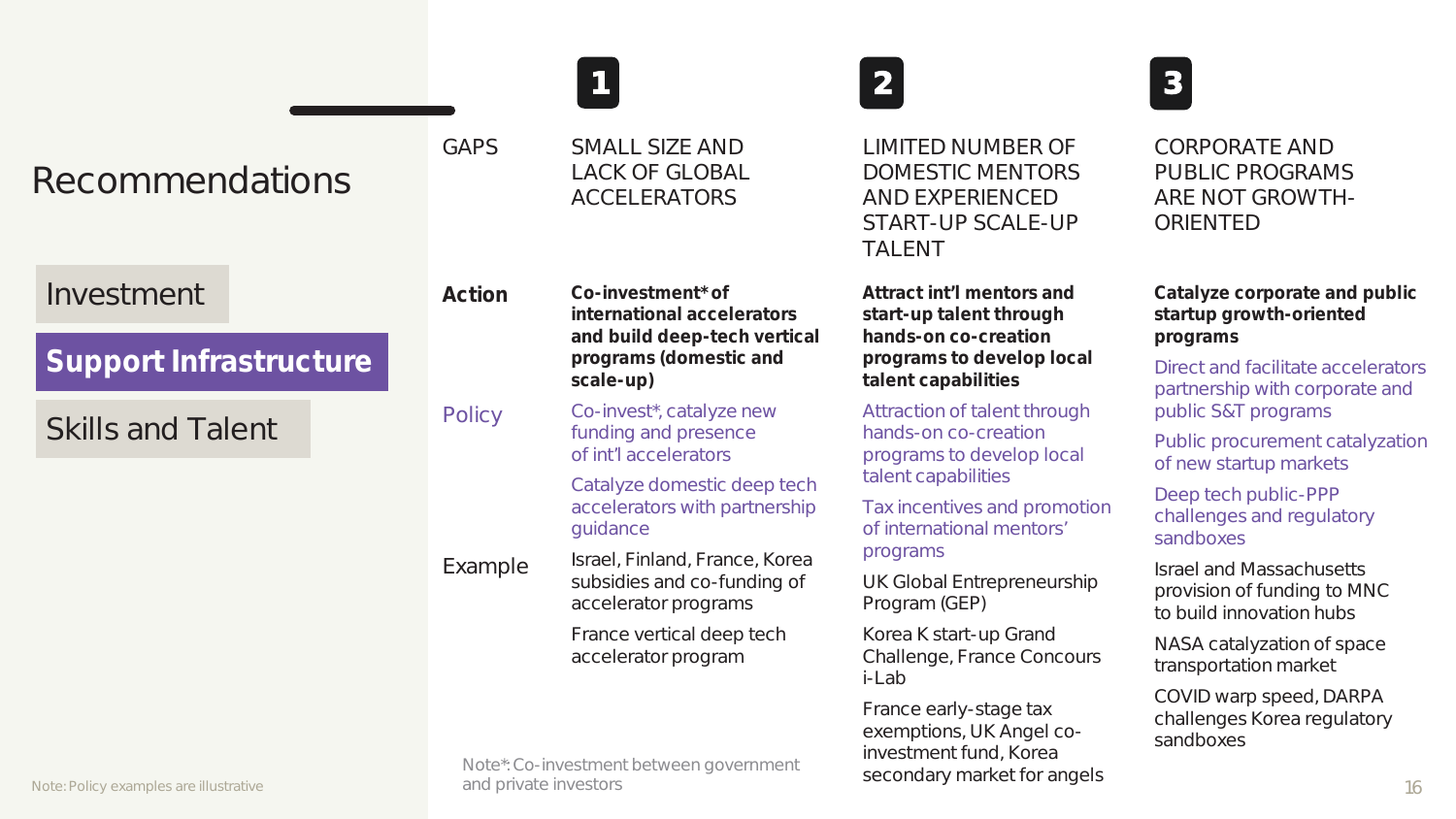|                                                                    |                       |                                                                                                                        |                                                                                                                                  | 3                                                                                                                                            |
|--------------------------------------------------------------------|-----------------------|------------------------------------------------------------------------------------------------------------------------|----------------------------------------------------------------------------------------------------------------------------------|----------------------------------------------------------------------------------------------------------------------------------------------|
| Recommendations                                                    | GAPS                  | SMALL SIZE AND<br><b>LACK OF GLOBAL</b><br><b>ACCELERATORS</b>                                                         | LIMITED NUMBER OF<br>DOMESTIC MENTORS<br>AND EXPERIENCED<br>START-UP SCALE-UP<br><b>TALENT</b>                                   | CORPORATE AND<br>PUBLIC PROGRAMS<br>ARE NOT GROWTH-<br>ORIENTED                                                                              |
| Investment<br>Support Infrastructure                               | Action                | Co-investment* of<br>international accelerators<br>and build deep-tech vertical<br>programs (domestic and<br>scale-up) | Attract int'l mentors and<br>start-up talent through<br>hands-on co-creation<br>programs to develop local<br>talent capabilities | Catalyze corporate and public<br>startup growth-oriented<br>programs<br>Direct and facilitate accelerators<br>partnership with corporate and |
| <b>Skills and Talent</b><br>Note: Policy examples are illustrative | Policy                | Co-invest*, catalyze new<br>funding and presence<br>of int'l accelerators                                              | Attraction of talent through<br>hands-on co-creation<br>programs to develop local<br>talent capabilities                         | public S&T programs<br>Public procurement catalyzation<br>of new startup markets                                                             |
|                                                                    |                       | Catalyze domestic deep tech<br>accelerators with partnership<br>guidance                                               | Tax incentives and promotion<br>of international mentors'                                                                        | Deep tech public-PPP<br>challenges and regulatory<br>sandboxes                                                                               |
|                                                                    | Example               | Israel, Finland, France, Korea<br>subsidies and co-funding of<br>accelerator programs                                  | programs<br>UK Global Entrepreneurship<br>Program (GEP)                                                                          | <b>Israel and Massachusetts</b><br>provision of funding to MNC<br>to build innovation hubs                                                   |
|                                                                    |                       | France vertical deep tech<br>accelerator program                                                                       | Korea K start-up Grand<br>Challenge, France Concours<br>$i$ -Lab                                                                 | NASA catalyzation of space<br>transportation market                                                                                          |
|                                                                    | and private investors | Note*: Co-investment between government                                                                                | France early-stage tax<br>exemptions, UK Angel co-<br>investment fund, Korea<br>secondary market for angels                      | COVID warp speed, DARPA<br>challenges Korea regulatory<br>sandboxes<br>16                                                                    |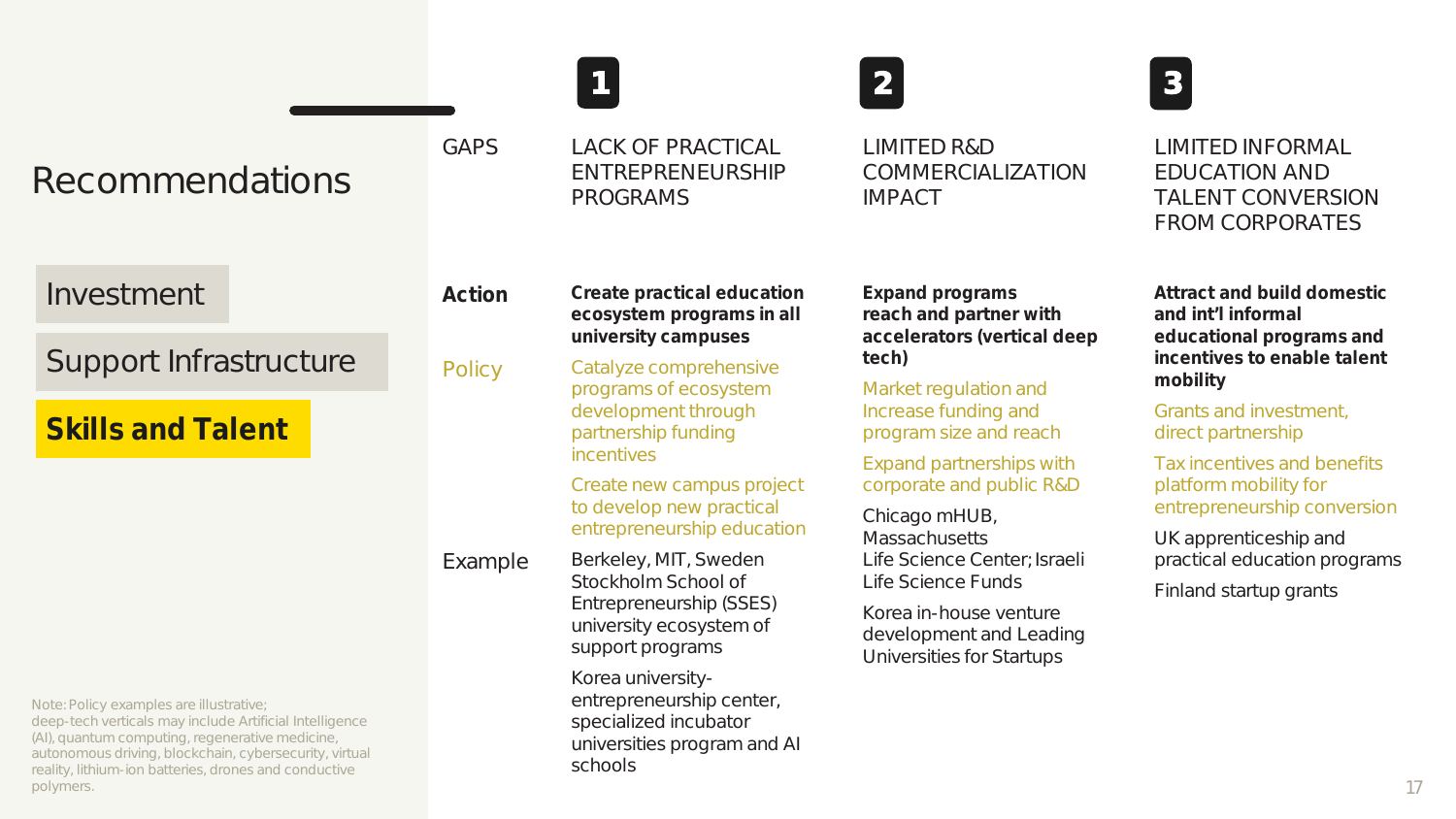|                          |         |                                                                                                                                                                                                                                                                          | 2 <sup>1</sup>                                                                                                                                                          | 3                                                                                                                                                                                                                                                                                             |
|--------------------------|---------|--------------------------------------------------------------------------------------------------------------------------------------------------------------------------------------------------------------------------------------------------------------------------|-------------------------------------------------------------------------------------------------------------------------------------------------------------------------|-----------------------------------------------------------------------------------------------------------------------------------------------------------------------------------------------------------------------------------------------------------------------------------------------|
| Recommendations          | GAPS    | LACK OF PRACTICAL<br>ENTREPRENEURSHIP<br>PROGRAMS                                                                                                                                                                                                                        | LIMITED R&D<br>COMMERCIALIZATION<br><b>IMPACT</b>                                                                                                                       | LIMITED INFORMAL<br><b>EDUCATION AND</b><br>TALENT CONVERSION<br>FROM CORPORATES                                                                                                                                                                                                              |
| Investment               | Action  | Create practical education<br>ecosystem programs in all                                                                                                                                                                                                                  | Expand programs<br>reach and partner with                                                                                                                               | Attract and build domestic<br>and int'l informal                                                                                                                                                                                                                                              |
| Support Infrastructure   | Policy  | university campuses<br>Catalyze comprehensive                                                                                                                                                                                                                            | accelerators (vertical deep<br>tech)<br>Market regulation and<br>Increase funding and<br>program size and reach<br>Expand partnerships with<br>corporate and public R&D | educational programs and<br>incentives to enable talent<br>mobility<br>Grants and investment,<br>direct partnership<br>Tax incentives and benefits<br>platform mobility for<br>entrepreneurship conversion<br>UK apprenticeship and<br>practical education programs<br>Finland startup grants |
| <b>Skills and Talent</b> | Example | programs of ecosystem<br>development through<br>partnership funding<br><i>incentives</i><br>Create new campus project<br>to develop new practical<br>entrepreneurship education                                                                                          |                                                                                                                                                                         |                                                                                                                                                                                                                                                                                               |
|                          |         |                                                                                                                                                                                                                                                                          |                                                                                                                                                                         |                                                                                                                                                                                                                                                                                               |
|                          |         |                                                                                                                                                                                                                                                                          | Berkeley, MIT, Sweden<br>Stockholm School of<br>Entrepreneurship (SSES)<br>university ecosystem of<br>support programs                                                  |                                                                                                                                                                                                                                                                                               |
|                          |         | Korea in-house venture<br>development and Leading<br>Universities for Startups                                                                                                                                                                                           |                                                                                                                                                                         |                                                                                                                                                                                                                                                                                               |
|                          |         | Note: Policy examples are illustrative;<br>deep-tech verticals may include Artificial Intelligence<br>(AI), quantum computing, regenerative medicine,<br>autonomous driving, blockchain, cybersecurity, virtual<br>reality, lithium-ion batteries, drones and conductive |                                                                                                                                                                         |                                                                                                                                                                                                                                                                                               |
| polymers.                |         |                                                                                                                                                                                                                                                                          |                                                                                                                                                                         | 17                                                                                                                                                                                                                                                                                            |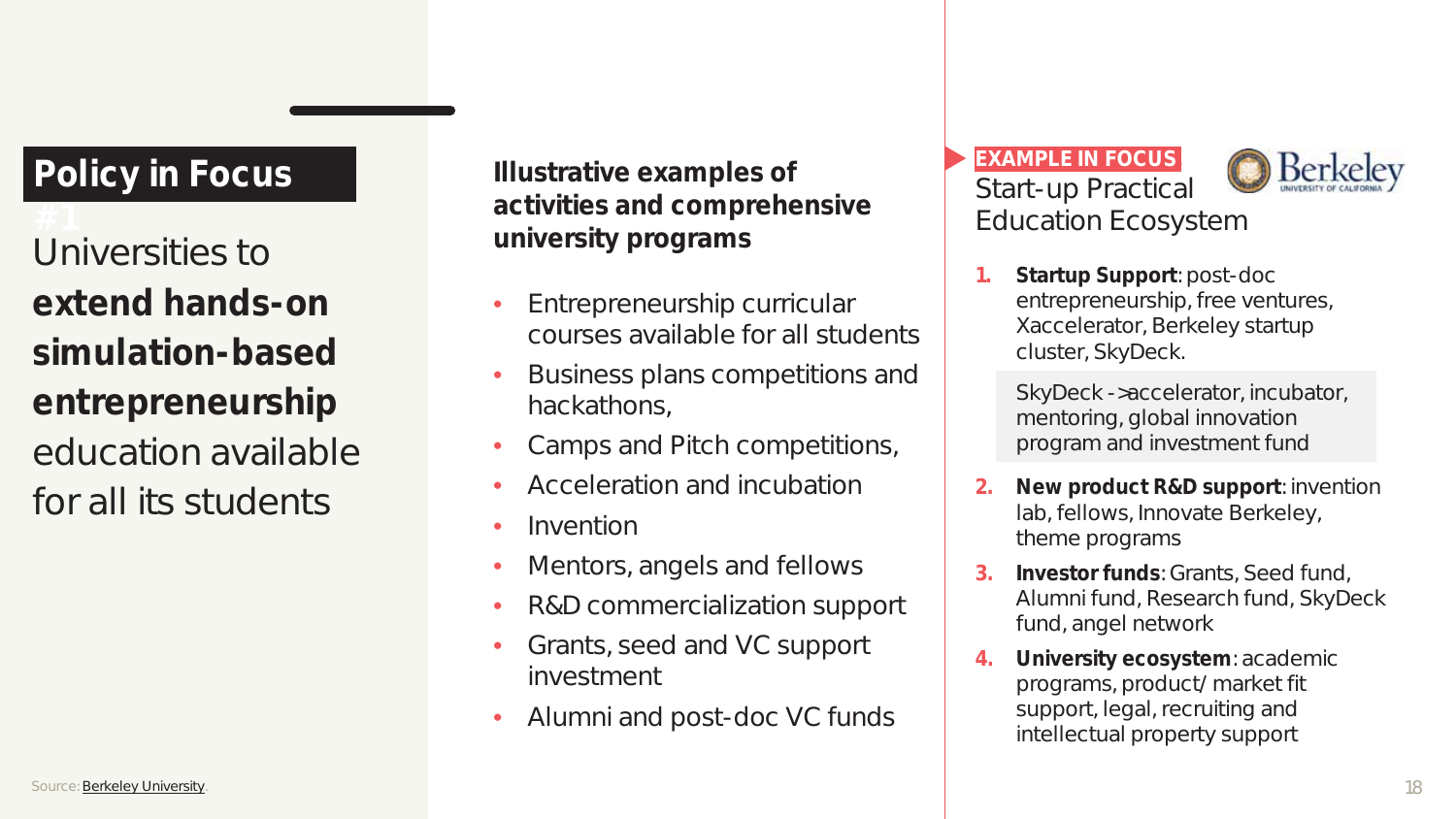# **Policy in Focus**

Universities to **university** programs **extend hands-on simulation-based entrepreneurship**  education available for all its students

**Illustrative examples of activities and comprehensive** 

- Entrepreneurship curricular courses available for all students
- Business plans competitions and hackathons,
- Camps and Pitch competitions,
- Acceleration and incubation
- Invention
- Mentors, angels and fellows
- R&D commercialization support
- Grants, seed and VC support investment
- Alumni and post-doc VC funds

#### **EXAMPLE IN FOCUS.** Start-up Practical Education Ecosystem



#### **1. Startup Support**: post-doc entrepreneurship, free ventures, Xaccelerator, Berkeley startup cluster, SkyDeck.

SkyDeck ->accelerator, incubator, mentoring, global innovation program and investment fund

- **2. New product R&D support**: invention lab, fellows, Innovate Berkeley, theme programs
- **3. Investor funds**: Grants, Seed fund, Alumni fund, Research fund, SkyDeck fund, angel network
- **4. University ecosystem**: academic programs, product/market fit support, legal, recruiting and intellectual property support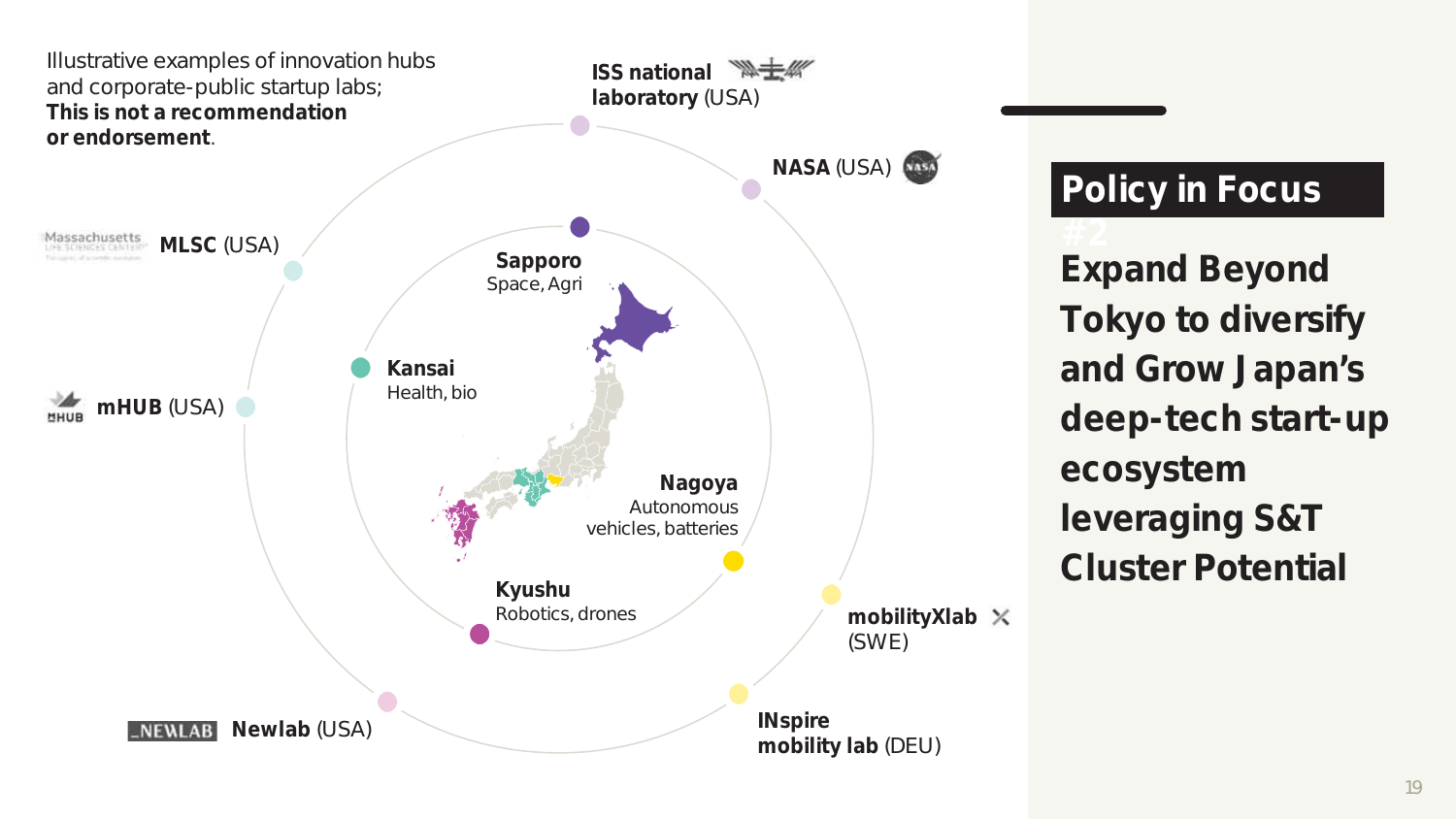

# **Policy in Focus**

**Expand Beyond Tokyo to diversify and Grow Japan's deep-tech start-up ecosystem leveraging S&T Cluster Potential**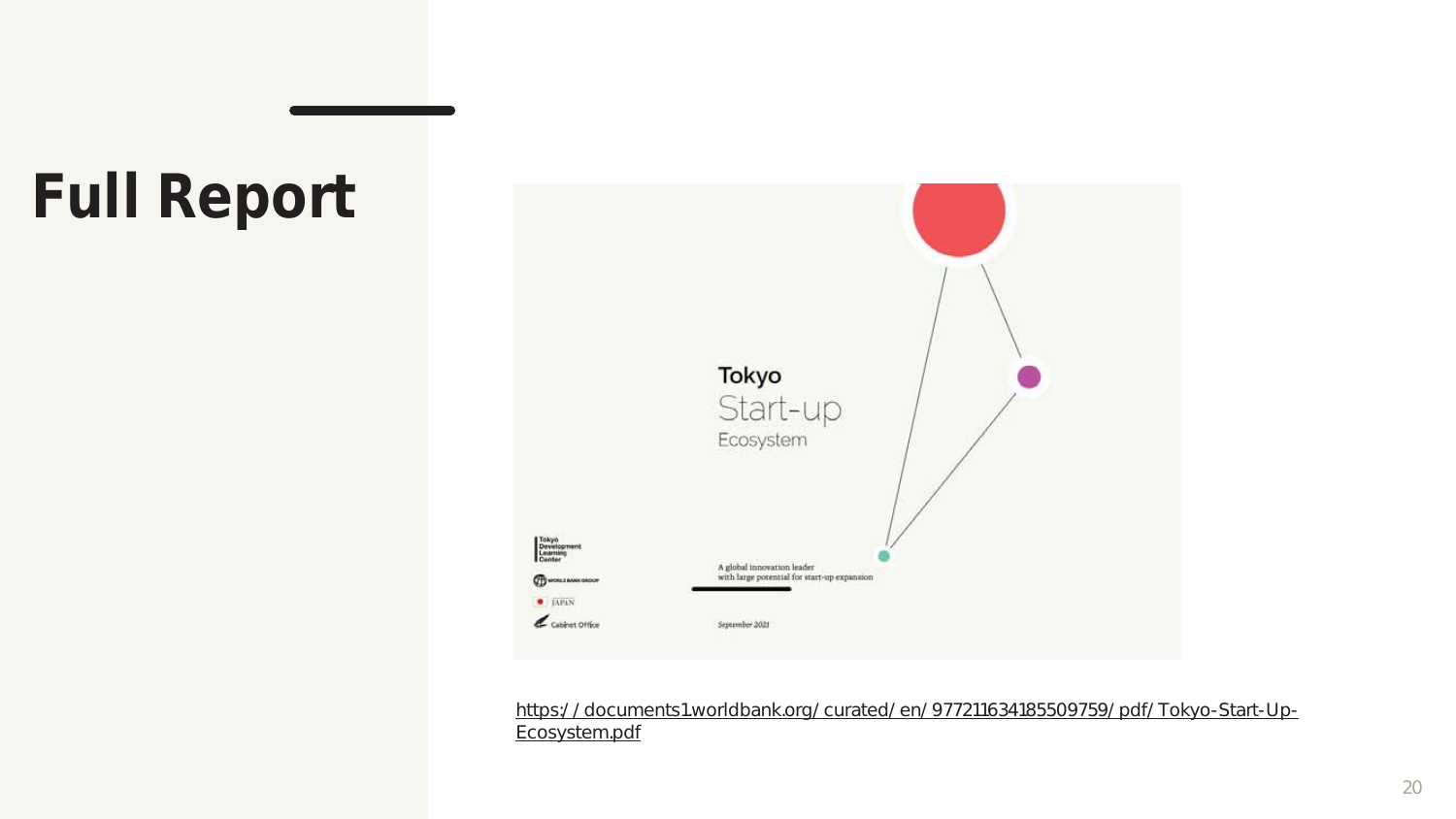# **Full Report**



https://documents1.worldbank.org/curated/en/977211634185509759/pdf/Tokyo-Start-Up-Ecosystem.pdf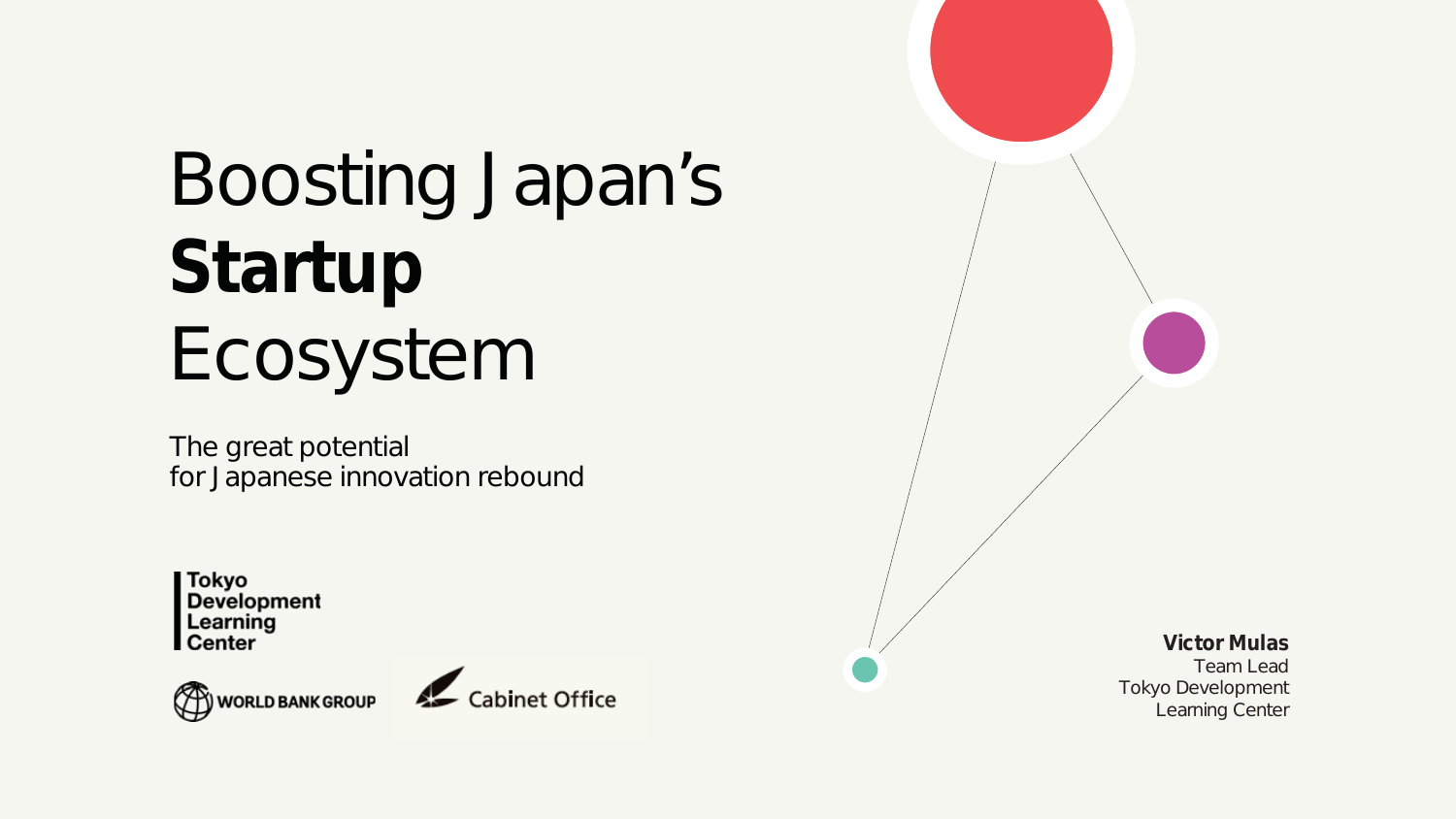# Boosting Japan's **Startup** Ecosystem

The great potential for Japanese innovation rebound

**Tokyo** Development Learning **Center** 





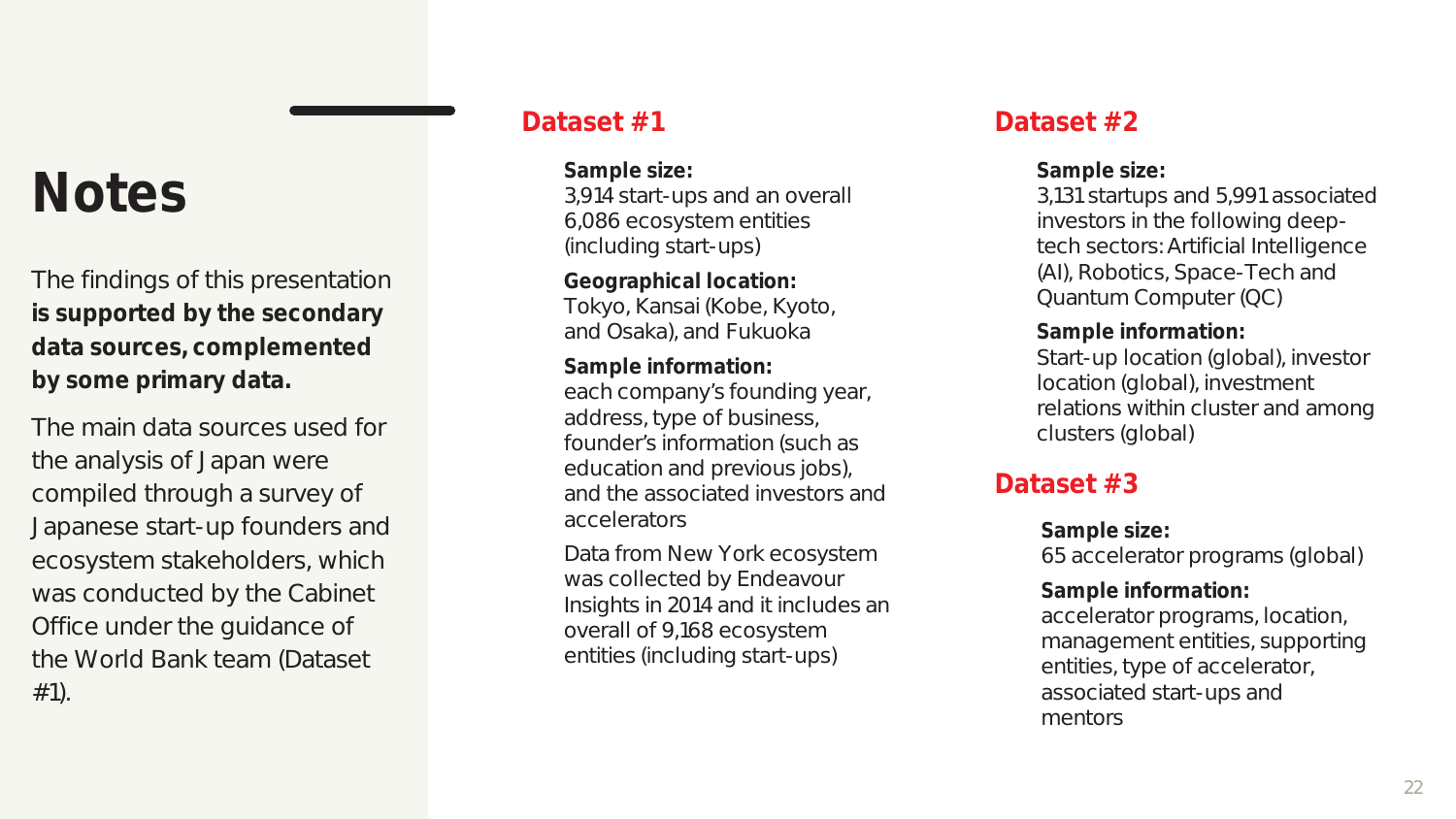# **Notes**

The findings of this presentation **is supported by the secondary data sources, complemented by some primary data.**

The main data sources used for the analysis of Japan were compiled through a survey of Japanese start-up founders and ecosystem stakeholders, which was conducted by the Cabinet Office under the guidance of the World Bank team (Dataset #1).

**Sample size:** 3,914 start-ups and an overall 6,086 ecosystem entities (including start-ups)

**Geographical location:** Tokyo, Kansai (Kobe, Kyoto, and Osaka), and Fukuoka

**Sample information:** each company's founding year, address, type of business, founder's information (such as education and previous jobs), and the associated investors and accelerators

Data from New York ecosystem was collected by Endeavour Insights in 2014 and it includes an overall of 9,168 ecosystem entities (including start-ups)

### Dataset #1 Dataset #2

**Sample size:**

3,131 startups and 5,991 associated investors in the following deeptech sectors: Artificial Intelligence (AI), Robotics, Space-Tech and Quantum Computer (QC)

**Sample information:** Start-up location (global), investor location (global), investment relations within cluster and among clusters (global)

### **Dataset #3**

**Sample size:** 65 accelerator programs (global) **Sample information:** accelerator programs, location, management entities, supporting entities, type of accelerator, associated start-ups and mentors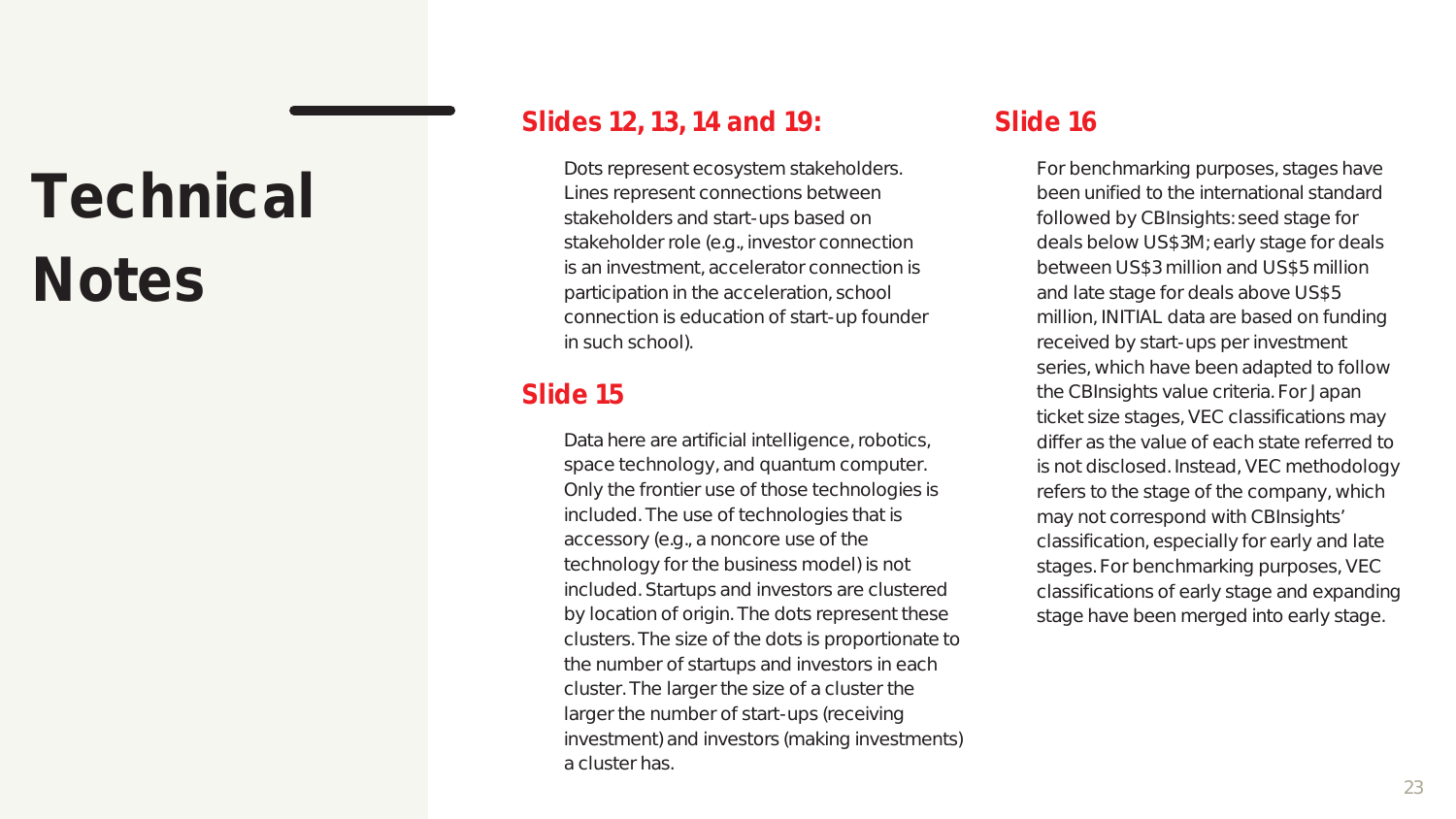# **Technical Notes**

### **Slides 12, 13, 14 and 19: Slide 16**

Dots represent ecosystem stakeholders. Lines represent connections between stakeholders and start-ups based on stakeholder role (e.g., investor connection is an investment, accelerator connection is participation in the acceleration, school connection is education of start-up founder in such school).

### **Slide 15**

Data here are artificial intelligence, robotics, space technology, and quantum computer. Only the frontier use of those technologies is included. The use of technologies that is accessory (e.g., a noncore use of the technology for the business model) is not included. Startups and investors are clustered by location of origin. The dots represent these clusters. The size of the dots is proportionate to the number of startups and investors in each cluster. The larger the size of a cluster the larger the number of start-ups (receiving investment) and investors (making investments) a cluster has.

For benchmarking purposes, stages have been unified to the international standard followed by CBInsights: seed stage for deals below US\$3M; early stage for deals between US\$3 million and US\$5 million and late stage for deals above US\$5 million, INITIAL data are based on funding received by start-ups per investment series, which have been adapted to follow the CBInsights value criteria. For Japan ticket size stages, VEC classifications may differ as the value of each state referred to is not disclosed. Instead, VEC methodology refers to the stage of the company, which may not correspond with CBInsights' classification, especially for early and late stages. For benchmarking purposes, VEC classifications of early stage and expanding stage have been merged into early stage.